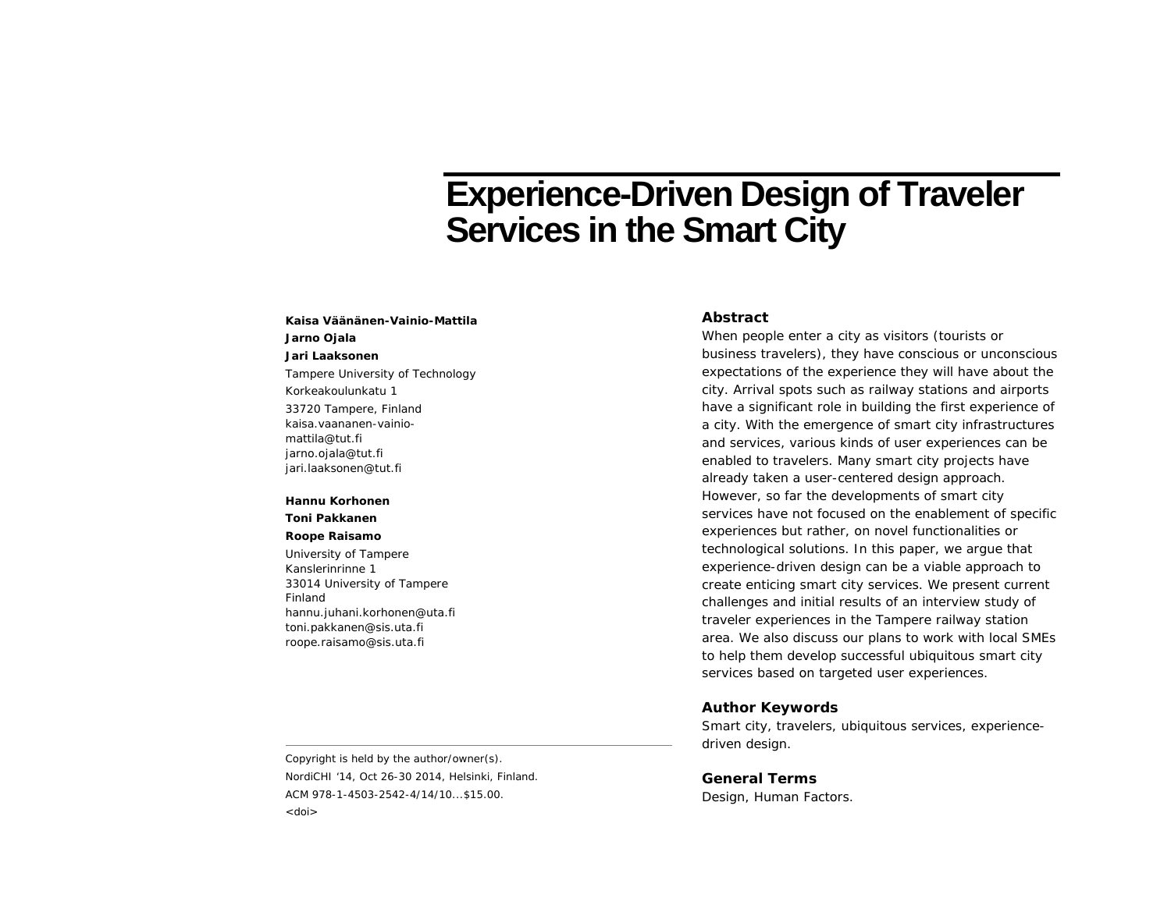# **Experience-Driven Design of Traveler Services in the Smart City**

**Kaisa Väänänen-Vainio-MattilaJarno Ojala Jari Laaksonen**  Tampere University of Technology Korkeakoulunkatu 1 33720 Tampere, Finland kaisa.vaananen-vainiomattila@tut.fi jarno.ojala@tut.fi jari.laaksonen@tut.fi

#### **Hannu Korhonen**

**Toni Pakkanen** 

#### **Roope Raisamo**

University of Tampere Kanslerinrinne 1 33014 University of Tampere Finland hannu.juhani.korhonen@uta.fi toni.pakkanen@sis.uta.fi roope.raisamo@sis.uta.fi

## **Abstract**

When people enter a city as visitors (tourists or business travelers), they have conscious or unconscious expectations of the experience they will have about the city. Arrival spots such as railway stations and airports have a significant role in building the first experience of a city. With the emergence of smart city infrastructures and services, various kinds of user experiences can be enabled to travelers. Many smart city projects have already taken a user-centered design approach. However, so far the developments of smart city services have not focused on the enablement of specific experiences but rather, on novel functionalities or technological solutions. In this paper, we argue that experience-driven design can be a viable approach to create enticing smart city services. We present current challenges and initial results of an interview study of traveler experiences in the Tampere railway station area. We also discuss our plans to work with local SMEs to help them develop successful ubiquitous smart city services based on targeted user experiences.

#### **Author Keywords**

Smart city, travelers, ubiquitous services, experiencedriven design.

Copyright is held by the author/owner(s). *NordiCHI '14*, Oct 26-30 2014, Helsinki, Finland. ACM 978-1-4503-2542-4/14/10...\$15.00. <doi>

**General Terms** Design, Human Factors.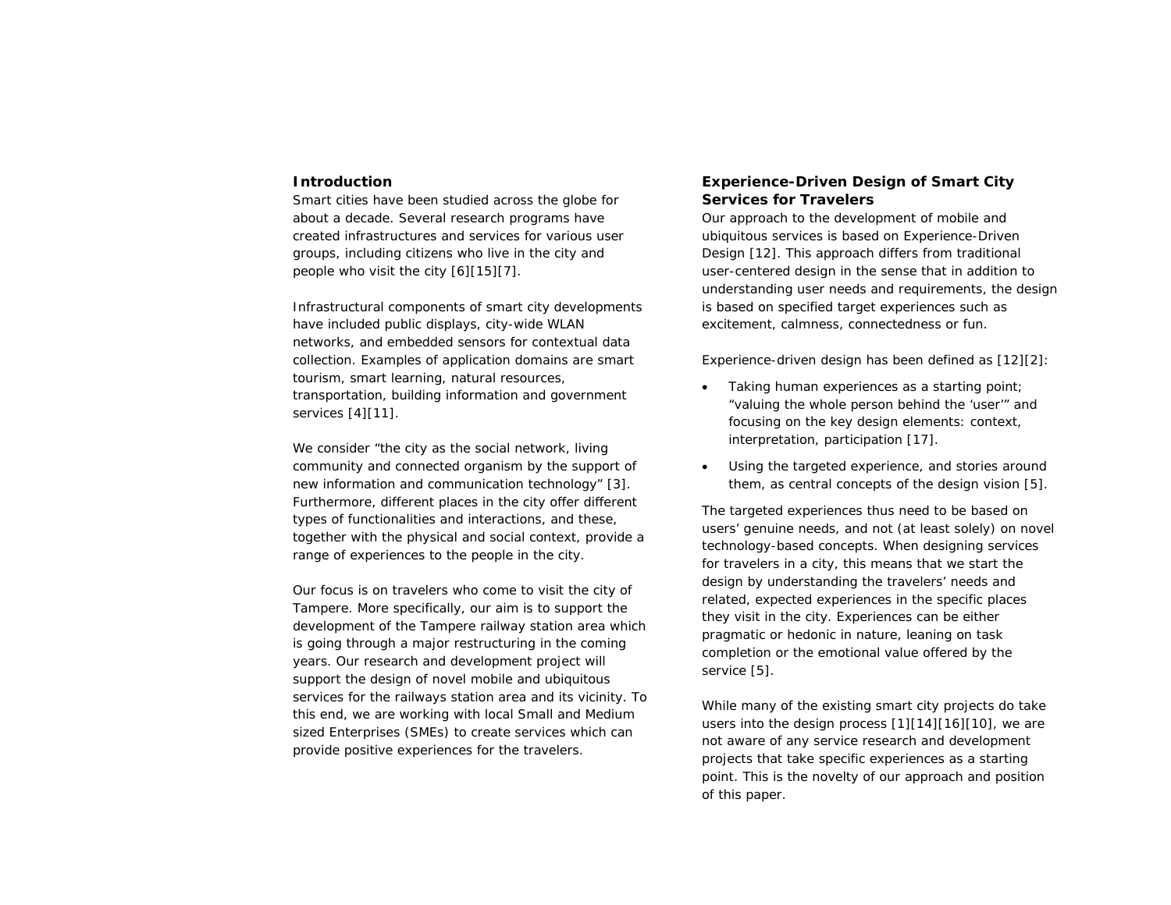## **Introduction**

Smart cities have been studied across the globe for about a decade. Several research programs have created infrastructures and services for various user groups, including citizens who live in the city and people who visit the city [6][15][7].

Infrastructural components of smart city developments have included public displays, city-wide WLAN networks, and embedded sensors for contextual data collection. Examples of application domains are smart tourism, smart learning, natural resources, transportation, building information and government services [4][11].

We consider "the city as the social network, living community and connected organism by the support of new information and communication technology" [3]. Furthermore, different places in the city offer different types of functionalities and interactions, and these, together with the physical and social context, provide a range of experiences to the people in the city.

Our focus is on travelers who come to visit the city of Tampere. More specifically, our aim is to support the development of the Tampere railway station area which is going through a major restructuring in the coming years. Our research and development project will support the design of novel mobile and ubiquitous services for the railways station area and its vicinity. To this end, we are working with local Small and Medium sized Enterprises (SMEs) to create services which can provide positive experiences for the travelers.

## **Experience-Driven Design of Smart City Services for Travelers**

Our approach to the development of mobile and ubiquitous services is based on Experience-Driven Design [12]. This approach differs from traditional user-centered design in the sense that in addition to understanding user needs and requirements, the design is based on specified target experiences such as excitement, calmness, connectedness or fun.

Experience-driven design has been defined as [12][2]:

- . Taking human experiences as a starting point; "valuing the whole person behind the 'user'" and focusing on the key design elements: context, interpretation, participation [17].
- . Using the targeted experience, and stories around them, as central concepts of the design vision [5].

The targeted experiences thus need to be based on users' genuine needs, and not (at least solely) on novel technology-based concepts. When designing services for travelers in a city, this means that we start the design by understanding the travelers' needs and related, expected experiences in the specific places they visit in the city. Experiences can be either pragmatic or hedonic in nature, leaning on task completion or the emotional value offered by the service [5].

While many of the existing smart city projects do take users into the design process [1][14][16][10], we are not aware of any service research and development projects that take specific experiences as a starting point. This is the novelty of our approach and position of this paper.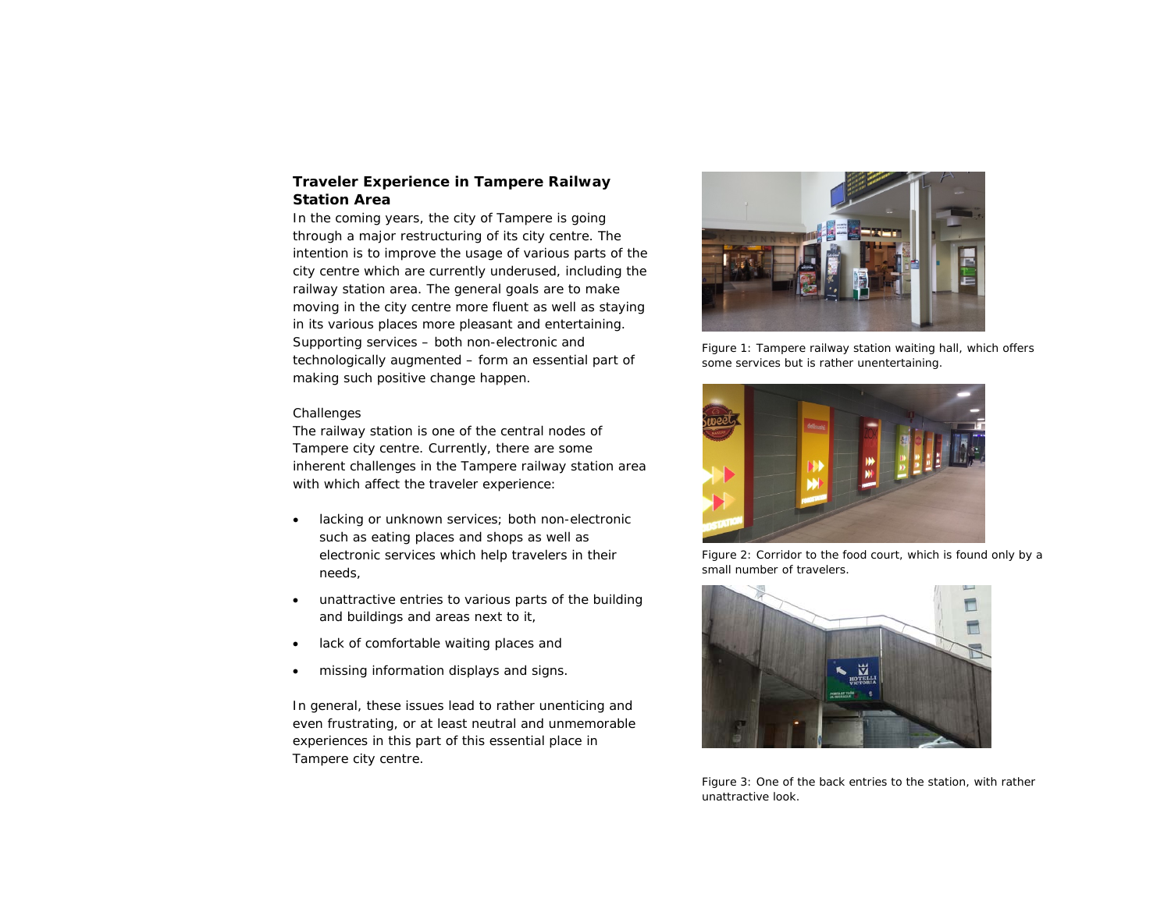## **Traveler Experience in Tampere Railway Station Area**

In the coming years, the city of Tampere is going through a major restructuring of its city centre. The intention is to improve the usage of various parts of the city centre which are currently underused, including the railway station area. The general goals are to make moving in the city centre more fluent as well as staying in its various places more pleasant and entertaining. Supporting services – both non-electronic and technologically augmented – form an essential part of making such positive change happen.

## *Challenges*

The railway station is one of the central nodes of Tampere city centre. Currently, there are some inherent challenges in the Tampere railway station area with which affect the traveler experience:

- $\bullet$  lacking or unknown services; both non-electronic such as eating places and shops as well as electronic services which help travelers in their needs,
- $\bullet$  unattractive entries to various parts of the building and buildings and areas next to it,
- . lack of comfortable waiting places and
- . missing information displays and signs.

In general, these issues lead to rather unenticing and even frustrating, or at least neutral and unmemorable experiences in this part of this essential place in Tampere city centre.



Figure 1: Tampere railway station waiting hall, which offers some services but is rather unentertaining.



Figure 2: Corridor to the food court, which is found only by a small number of travelers.



Figure 3: One of the back entries to the station, with rather unattractive look.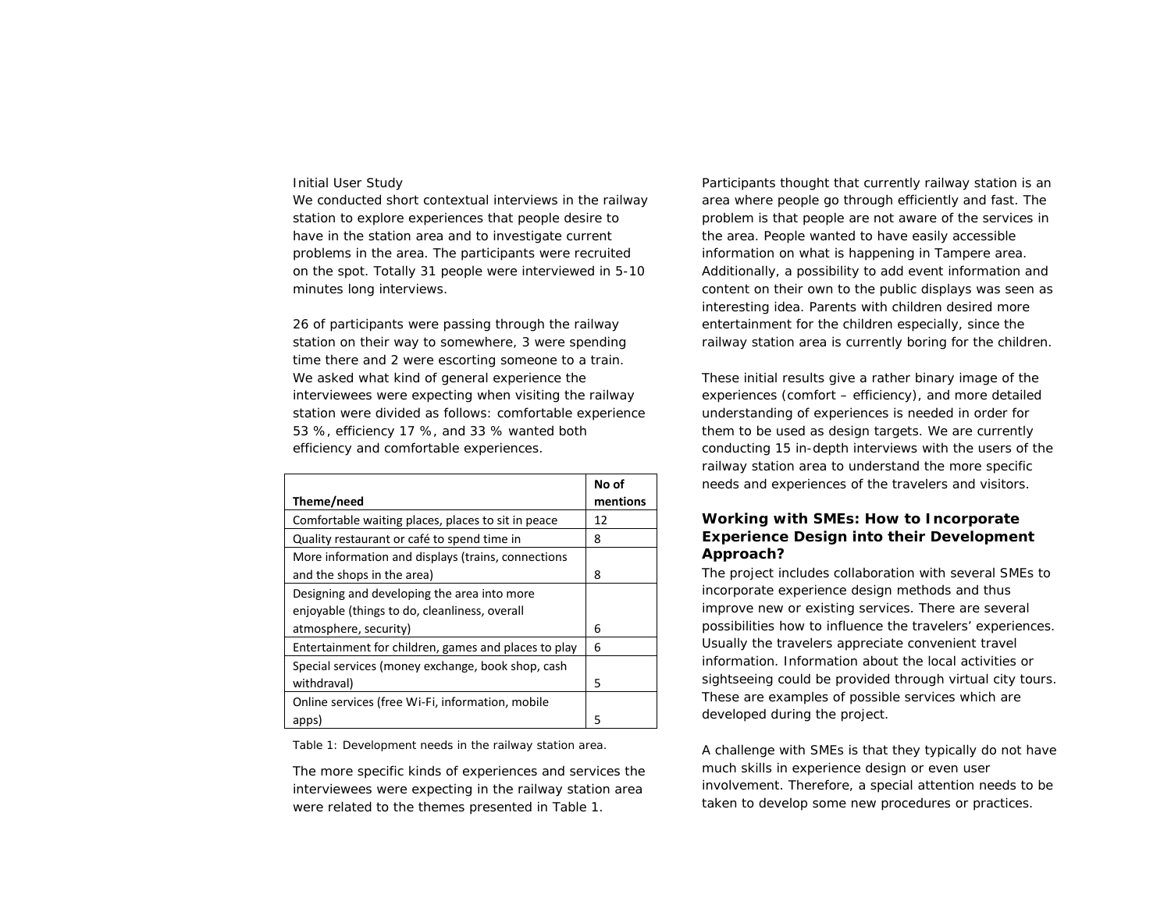## *Initial User Study*

We conducted short contextual interviews in the railway station to explore experiences that people desire to have in the station area and to investigate current problems in the area. The participants were recruited on the spot. Totally 31 people were interviewed in 5-10 minutes long interviews.

26 of participants were passing through the railway station on their way to somewhere, 3 were spending time there and 2 were escorting someone to a train. We asked what kind of general experience the interviewees were expecting when visiting the railway station were divided as follows: comfortable experience 53 %, efficiency 17 %, and 33 % wanted both efficiency and comfortable experiences.

| Theme/need                                                                                   | No of<br>mentions |
|----------------------------------------------------------------------------------------------|-------------------|
| Comfortable waiting places, places to sit in peace                                           | 12                |
| Quality restaurant or café to spend time in                                                  | 8                 |
| More information and displays (trains, connections<br>and the shops in the area)             | 8                 |
| Designing and developing the area into more<br>enjoyable (things to do, cleanliness, overall |                   |
| atmosphere, security)                                                                        | 6                 |
| Entertainment for children, games and places to play                                         | 6                 |
| Special services (money exchange, book shop, cash<br>withdraval)                             | 5                 |
| Online services (free Wi-Fi, information, mobile<br>apps)                                    | 5                 |

Table 1: Development needs in the railway station area.

The more specific kinds of experiences and services the interviewees were expecting in the railway station area were related to the themes presented in Table 1.

Participants thought that currently railway station is an area where people go through efficiently and fast. The problem is that people are not aware of the services in the area. People wanted to have easily accessible information on what is happening in Tampere area. Additionally, a possibility to add event information and content on their own to the public displays was seen as interesting idea. Parents with children desired more entertainment for the children especially, since the railway station area is currently boring for the children.

These initial results give a rather binary image of the experiences (comfort – efficiency), and more detailed understanding of experiences is needed in order for them to be used as design targets. We are currently conducting 15 in-depth interviews with the users of the railway station area to understand the more specific needs and experiences of the travelers and visitors.

# **Working with SMEs: How to Incorporate Experience Design into their Development Approach?**

The project includes collaboration with several SMEs to incorporate experience design methods and thus improve new or existing services. There are several possibilities how to influence the travelers' experiences. Usually the travelers appreciate convenient travel information. Information about the local activities or sightseeing could be provided through virtual city tours. These are examples of possible services which are developed during the project.

A challenge with SMEs is that they typically do not have much skills in experience design or even user involvement. Therefore, a special attention needs to be taken to develop some new procedures or practices.